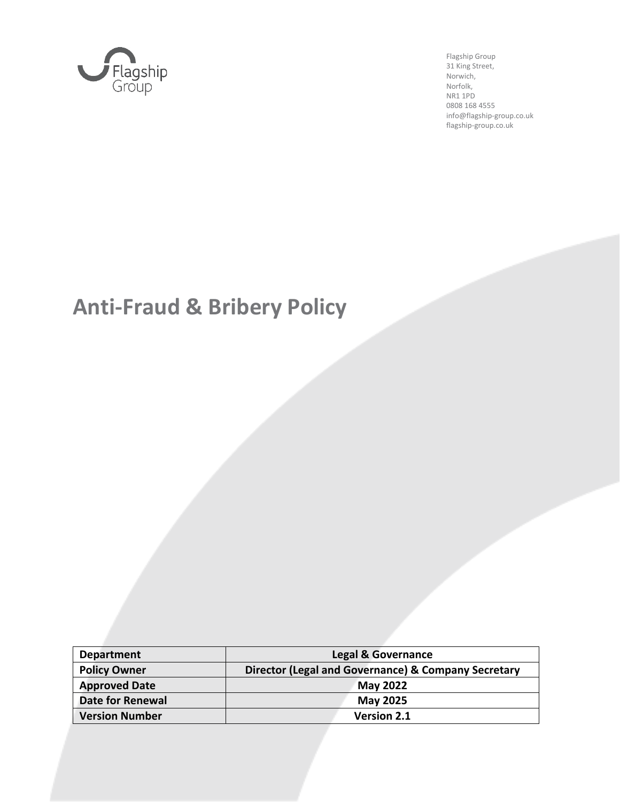

Flagship Group 31 King Street, Norwich, Norfolk, NR1 1PD 0808 168 4555 info@flagship-group.co.uk flagship-group.co.uk

# **Anti-Fraud & Bribery Policy**

| <b>Department</b>       | <b>Legal &amp; Governance</b>                       |  |
|-------------------------|-----------------------------------------------------|--|
| <b>Policy Owner</b>     | Director (Legal and Governance) & Company Secretary |  |
| <b>Approved Date</b>    | May 2022                                            |  |
| <b>Date for Renewal</b> | <b>May 2025</b>                                     |  |
| <b>Version Number</b>   | <b>Version 2.1</b>                                  |  |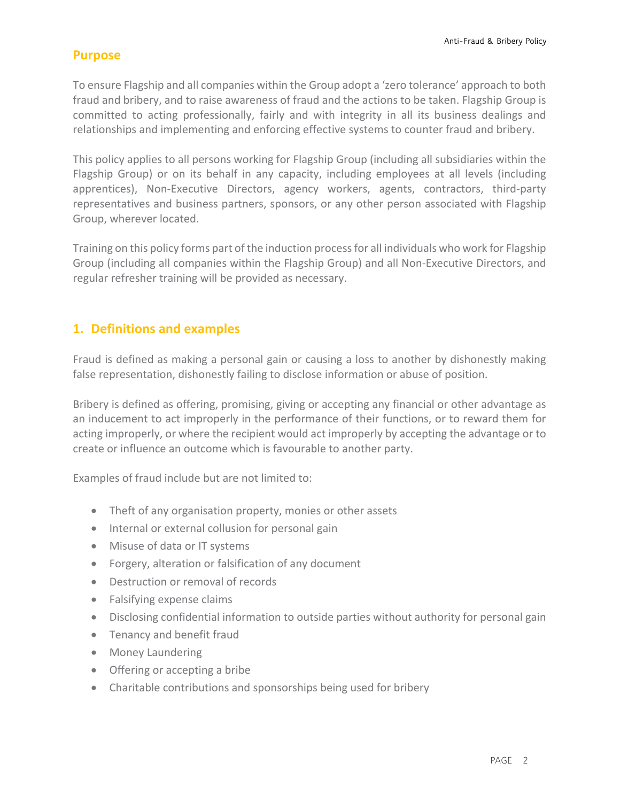#### **Purpose**

To ensure Flagship and all companies within the Group adopt a 'zero tolerance' approach to both fraud and bribery, and to raise awareness of fraud and the actions to be taken. Flagship Group is committed to acting professionally, fairly and with integrity in all its business dealings and relationships and implementing and enforcing effective systems to counter fraud and bribery.

This policy applies to all persons working for Flagship Group (including all subsidiaries within the Flagship Group) or on its behalf in any capacity, including employees at all levels (including apprentices), Non-Executive Directors, agency workers, agents, contractors, third-party representatives and business partners, sponsors, or any other person associated with Flagship Group, wherever located.

Training on this policy forms part of the induction process for all individuals who work for Flagship Group (including all companies within the Flagship Group) and all Non-Executive Directors, and regular refresher training will be provided as necessary.

## **1. Definitions and examples**

Fraud is defined as making a personal gain or causing a loss to another by dishonestly making false representation, dishonestly failing to disclose information or abuse of position.

Bribery is defined as offering, promising, giving or accepting any financial or other advantage as an inducement to act improperly in the performance of their functions, or to reward them for acting improperly, or where the recipient would act improperly by accepting the advantage or to create or influence an outcome which is favourable to another party.

Examples of fraud include but are not limited to:

- Theft of any organisation property, monies or other assets
- Internal or external collusion for personal gain
- Misuse of data or IT systems
- Forgery, alteration or falsification of any document
- Destruction or removal of records
- Falsifying expense claims
- Disclosing confidential information to outside parties without authority for personal gain
- Tenancy and benefit fraud
- Money Laundering
- Offering or accepting a bribe
- Charitable contributions and sponsorships being used for bribery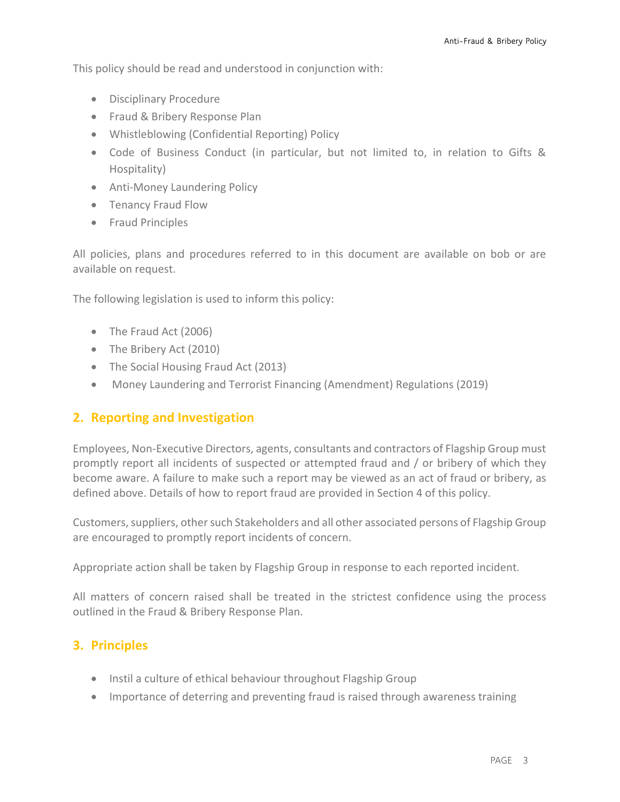This policy should be read and understood in conjunction with:

- Disciplinary Procedure
- Fraud & Bribery Response Plan
- Whistleblowing (Confidential Reporting) Policy
- Code of Business Conduct (in particular, but not limited to, in relation to Gifts & Hospitality)
- Anti-Money Laundering Policy
- Tenancy Fraud Flow
- Fraud Principles

All policies, plans and procedures referred to in this document are available on bob or are available on request.

The following legislation is used to inform this policy:

- The Fraud Act (2006)
- The Bribery Act (2010)
- The Social Housing Fraud Act (2013)
- Money Laundering and Terrorist Financing (Amendment) Regulations (2019)

### **2. Reporting and Investigation**

Employees, Non-Executive Directors, agents, consultants and contractors of Flagship Group must promptly report all incidents of suspected or attempted fraud and / or bribery of which they become aware. A failure to make such a report may be viewed as an act of fraud or bribery, as defined above. Details of how to report fraud are provided in Section 4 of this policy.

Customers, suppliers, other such Stakeholders and all other associated persons of Flagship Group are encouraged to promptly report incidents of concern.

Appropriate action shall be taken by Flagship Group in response to each reported incident.

All matters of concern raised shall be treated in the strictest confidence using the process outlined in the Fraud & Bribery Response Plan.

## **3. Principles**

- Instil a culture of ethical behaviour throughout Flagship Group
- Importance of deterring and preventing fraud is raised through awareness training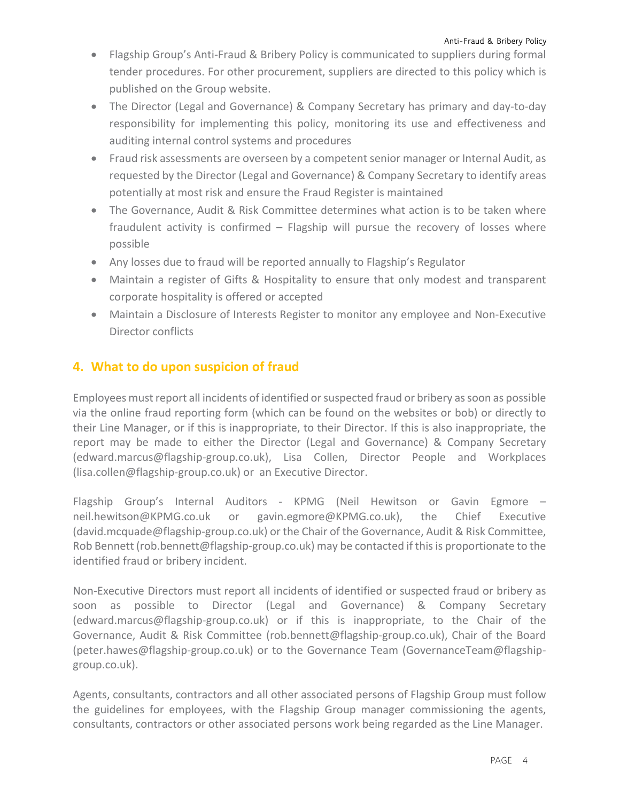- Flagship Group's Anti-Fraud & Bribery Policy is communicated to suppliers during formal tender procedures. For other procurement, suppliers are directed to this policy which is published on the Group website.
- The Director (Legal and Governance) & Company Secretary has primary and day-to-day responsibility for implementing this policy, monitoring its use and effectiveness and auditing internal control systems and procedures
- Fraud risk assessments are overseen by a competent senior manager or Internal Audit, as requested by the Director (Legal and Governance) & Company Secretary to identify areas potentially at most risk and ensure the Fraud Register is maintained
- The Governance, Audit & Risk Committee determines what action is to be taken where fraudulent activity is confirmed – Flagship will pursue the recovery of losses where possible
- Any losses due to fraud will be reported annually to Flagship's Regulator
- Maintain a register of Gifts & Hospitality to ensure that only modest and transparent corporate hospitality is offered or accepted
- Maintain a Disclosure of Interests Register to monitor any employee and Non-Executive Director conflicts

## **4. What to do upon suspicion of fraud**

Employees must report all incidents of identified or suspected fraud or bribery as soon as possible via the online fraud reporting form (which can be found on the websites or bob) or directly to their Line Manager, or if this is inappropriate, to their Director. If this is also inappropriate, the report may be made to either the Director (Legal and Governance) & Company Secretary (edward.marcus@flagship-group.co.uk), Lisa Collen, Director People and Workplaces [\(lisa.collen@flagship-group.co.uk\)](mailto:lisa.collen@flagship-group.co.uk) or an Executive Director.

Flagship Group's Internal Auditors - KPMG (Neil Hewitson or Gavin Egmore – neil.hewitson@KPMG.co.uk or gavin.egmore@KPMG.co.uk), the Chief Executive (david.mcquade@flagship-group.co.uk) or the Chair of the Governance, Audit & Risk Committee, Rob Bennett (rob.bennett@flagship-group.co.uk) may be contacted if this is proportionate to the identified fraud or bribery incident.

Non-Executive Directors must report all incidents of identified or suspected fraud or bribery as soon as possible to Director (Legal and Governance) & Company Secretary (edward.marcus@flagship-group.co.uk) or if this is inappropriate, to the Chair of the Governance, Audit & Risk Committee (rob.bennett@flagship-group.co.uk), Chair of the Board (peter.hawes@flagship-group.co.uk) or to the Governance Team (GovernanceTeam@flagshipgroup.co.uk).

Agents, consultants, contractors and all other associated persons of Flagship Group must follow the guidelines for employees, with the Flagship Group manager commissioning the agents, consultants, contractors or other associated persons work being regarded as the Line Manager.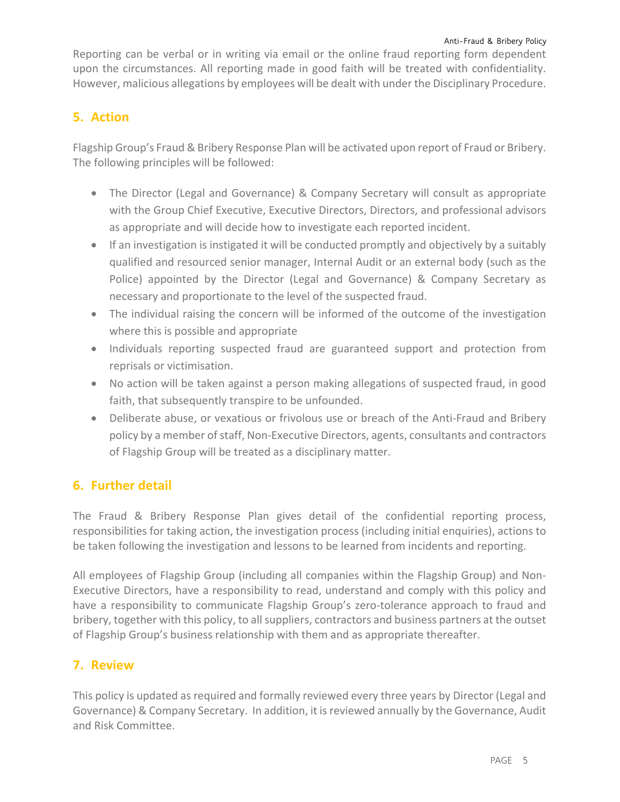Reporting can be verbal or in writing via email or the online fraud reporting form dependent upon the circumstances. All reporting made in good faith will be treated with confidentiality. However, malicious allegations by employees will be dealt with under the Disciplinary Procedure.

# **5. Action**

Flagship Group's Fraud & Bribery Response Plan will be activated upon report of Fraud or Bribery. The following principles will be followed:

- The Director (Legal and Governance) & Company Secretary will consult as appropriate with the Group Chief Executive, Executive Directors, Directors, and professional advisors as appropriate and will decide how to investigate each reported incident.
- If an investigation is instigated it will be conducted promptly and objectively by a suitably qualified and resourced senior manager, Internal Audit or an external body (such as the Police) appointed by the Director (Legal and Governance) & Company Secretary as necessary and proportionate to the level of the suspected fraud.
- The individual raising the concern will be informed of the outcome of the investigation where this is possible and appropriate
- Individuals reporting suspected fraud are guaranteed support and protection from reprisals or victimisation.
- No action will be taken against a person making allegations of suspected fraud, in good faith, that subsequently transpire to be unfounded.
- Deliberate abuse, or vexatious or frivolous use or breach of the Anti-Fraud and Bribery policy by a member of staff, Non-Executive Directors, agents, consultants and contractors of Flagship Group will be treated as a disciplinary matter.

# **6. Further detail**

The Fraud & Bribery Response Plan gives detail of the confidential reporting process, responsibilities for taking action, the investigation process (including initial enquiries), actions to be taken following the investigation and lessons to be learned from incidents and reporting.

All employees of Flagship Group (including all companies within the Flagship Group) and Non-Executive Directors, have a responsibility to read, understand and comply with this policy and have a responsibility to communicate Flagship Group's zero-tolerance approach to fraud and bribery, together with this policy, to all suppliers, contractors and business partners at the outset of Flagship Group's business relationship with them and as appropriate thereafter.

## **7. Review**

This policy is updated as required and formally reviewed every three years by Director (Legal and Governance) & Company Secretary. In addition, it is reviewed annually by the Governance, Audit and Risk Committee.